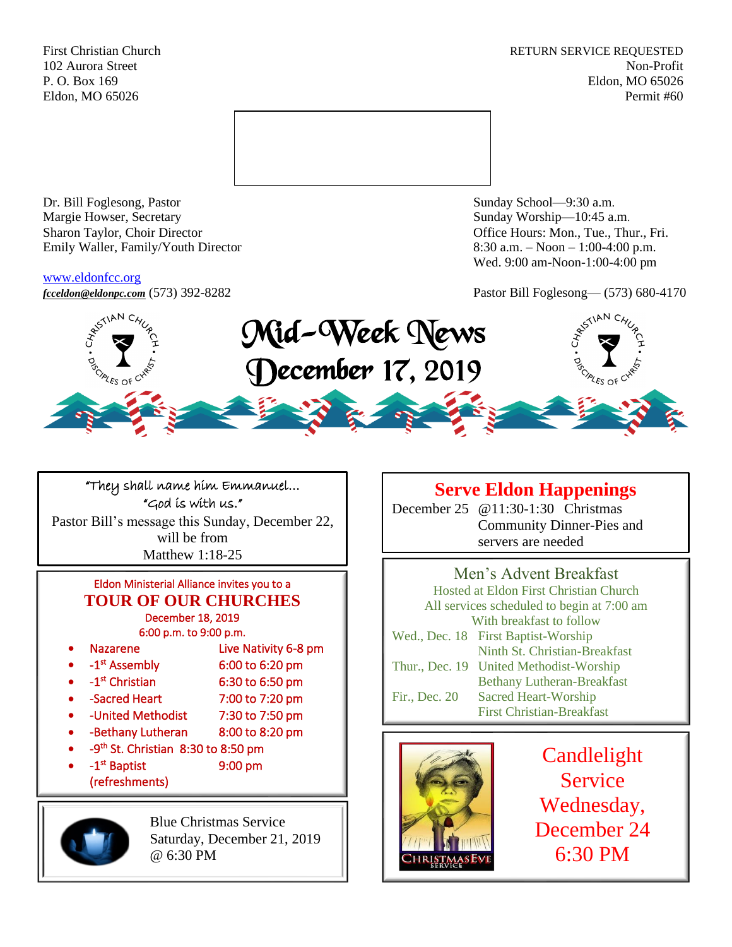First Christian Church **RETURN SERVICE REQUESTED** 102 Aurora Street Non-Profit P. O. Box 169 Eldon, MO 65026 Eldon, MO 65026 Permit #60



Dr. Bill Foglesong, Pastor Sunday School—9:30 a.m. Margie Howser, Secretary Sunday Worship—10:45 a.m. Sharon Taylor, Choir Director **Channel Controllering Controllering Controllering Controllering Controllering Controllering Controllering Controllering Controllering Controllering Controllering Controllering Controllering C** Emily Waller, Family/Youth Director 8:30 a.m. – Noon – 1:00-4:00 p.m.

### [www.eldonfcc.org](http://www.eldonfcc.org/)

Wed. 9:00 am-Noon-1:00-4:00 pm

*[fcceldon@eldonpc.com](mailto:fcceldon@eldonpc.com)* (573) 392-8282 Pastor Bill Foglesong— (573) 680-4170



"They shall name him Emmanuel… "God is with us." Pastor Bill's message this Sunday, December 22, will be from Matthew 1:18-25

## Eldon Ministerial Alliance invites you to a **TOUR OF OUR CHURCHES** December 18, 2019

6:00 p.m. to 9:00 p.m.

- Nazarene Live Nativity 6-8 pm
- $\bullet$  -1<sup>st</sup> 6:00 to 6:20 pm
- $\bullet$  -1<sup>st</sup>
- 6:30 to 6:50 pm
- -Sacred Heart 7:00 to 7:20 pm
- -United Methodist 7:30 to 7:50 pm
- -Bethany Lutheran 8:00 to 8:20 pm
- $\bullet$   $-9$ <sup>th</sup> St. Christian 8:30 to 8:50 pm  $\bullet$  -1<sup>st</sup> 9:00 pm
- (refreshments)

Blue Christmas Service Saturday, December 21, 2019 @ 6:30 PM

## **Serve Eldon Happenings**

December 25 @11:30-1:30 Christmas Community Dinner-Pies and servers are needed

Men's Advent Breakfast Hosted at Eldon First Christian Church All services scheduled to begin at 7:00 am With breakfast to follow Wed., Dec. 18 First Baptist-Worship Ninth St. Christian-Breakfast Thur., Dec. 19 United Methodist-Worship Bethany Lutheran-Breakfast Fir., Dec. 20 Sacred Heart-Worship First Christian-Breakfast



Candlelight Service Wednesday, December 24 6:30 PM